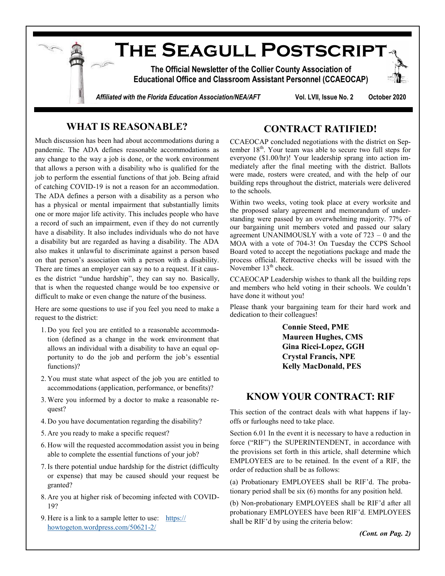

# **WHAT IS REASONABLE?**

Much discussion has been had about accommodations during a pandemic. The ADA defines reasonable accommodations as any change to the way a job is done, or the work environment that allows a person with a disability who is qualified for the job to perform the essential functions of that job. Being afraid of catching COVID-19 is not a reason for an accommodation. The ADA defines a person with a disability as a person who has a physical or mental impairment that substantially limits one or more major life activity. This includes people who have a record of such an impairment, even if they do not currently have a disability. It also includes individuals who do not have a disability but are regarded as having a disability. The ADA also makes it unlawful to discriminate against a person based on that person's association with a person with a disability. There are times an employer can say no to a request. If it causes the district "undue hardship", they can say no. Basically, that is when the requested change would be too expensive or difficult to make or even change the nature of the business.

Here are some questions to use if you feel you need to make a request to the district:

- 1. Do you feel you are entitled to a reasonable accommodation (defined as a change in the work environment that allows an individual with a disability to have an equal opportunity to do the job and perform the job's essential functions)?
- 2. You must state what aspect of the job you are entitled to accommodations (application, performance, or benefits)?
- 3. Were you informed by a doctor to make a reasonable request?
- 4. Do you have documentation regarding the disability?
- 5. Are you ready to make a specific request?
- 6. How will the requested accommodation assist you in being able to complete the essential functions of your job?
- 7.Is there potential undue hardship for the district (difficulty or expense) that may be caused should your request be granted?
- 8. Are you at higher risk of becoming infected with COVID-19?
- 9. Here is a link to a sample letter to use: [https://](https://howtogeton.wordpress.com/50621-2/) [howtogeton.wordpress.com/50621](https://howtogeton.wordpress.com/50621-2/)-2/

## **CONTRACT RATIFIED!**

CCAEOCAP concluded negotiations with the district on September  $18<sup>th</sup>$ . Your team was able to secure two full steps for everyone (\$1.00/hr)! Your leadership sprang into action immediately after the final meeting with the district. Ballots were made, rosters were created, and with the help of our building reps throughout the district, materials were delivered to the schools.

Within two weeks, voting took place at every worksite and the proposed salary agreement and memorandum of understanding were passed by an overwhelming majority. 77% of our bargaining unit members voted and passed our salary agreement UNANIMOUSLY with a vote of 723 – 0 and the MOA with a vote of 704-3! On Tuesday the CCPS School Board voted to accept the negotiations package and made the process official. Retroactive checks will be issued with the November  $13<sup>th</sup>$  check.

CCAEOCAP Leadership wishes to thank all the building reps and members who held voting in their schools. We couldn't have done it without you!

Please thank your bargaining team for their hard work and dedication to their colleagues!

> **Connie Steed, PME Maureen Hughes, CMS Gina Ricci-Lopez, GGH Crystal Francis, NPE Kelly MacDonald, PES**

## **KNOW YOUR CONTRACT: RIF**

This section of the contract deals with what happens if layoffs or furloughs need to take place.

Section 6.01 In the event it is necessary to have a reduction in force ("RIF") the SUPERINTENDENT, in accordance with the provisions set forth in this article, shall determine which EMPLOYEES are to be retained. In the event of a RIF, the order of reduction shall be as follows:

(a) Probationary EMPLOYEES shall be RIF'd. The probationary period shall be six (6) months for any position held.

(b) Non-probationary EMPLOYEES shall be RIF'd after all probationary EMPLOYEES have been RIF'd. EMPLOYEES shall be RIF'd by using the criteria below:

*(Cont. on Pag. 2)*